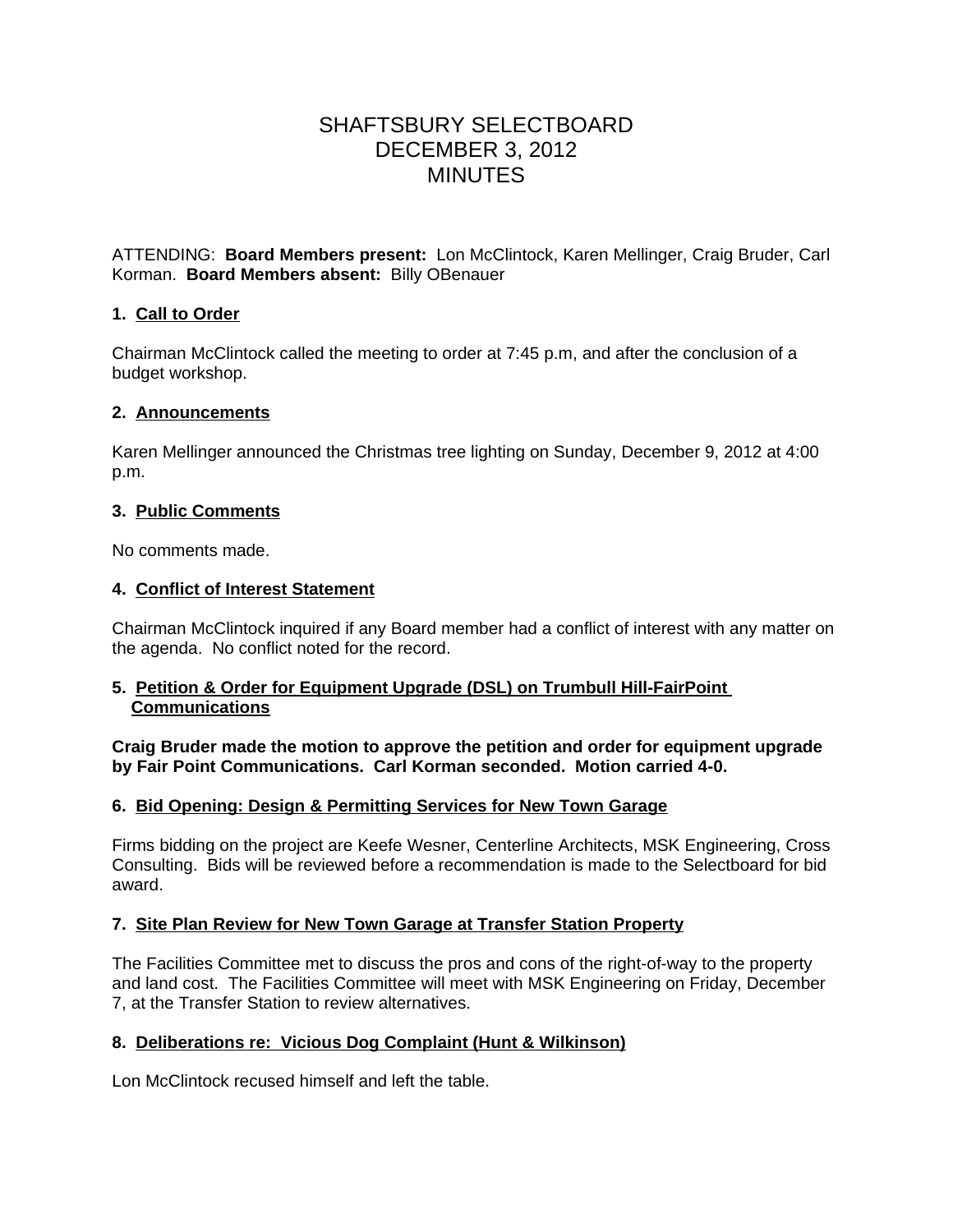# SHAFTSBURY SELECTBOARD DECEMBER 3, 2012 MINUTES

ATTENDING: **Board Members present:** Lon McClintock, Karen Mellinger, Craig Bruder, Carl Korman. **Board Members absent:** Billy OBenauer

# **1. Call to Order**

Chairman McClintock called the meeting to order at 7:45 p.m, and after the conclusion of a budget workshop.

# **2. Announcements**

Karen Mellinger announced the Christmas tree lighting on Sunday, December 9, 2012 at 4:00 p.m.

### **3. Public Comments**

No comments made.

# **4. Conflict of Interest Statement**

Chairman McClintock inquired if any Board member had a conflict of interest with any matter on the agenda. No conflict noted for the record.

### **5. Petition & Order for Equipment Upgrade (DSL) on Trumbull Hill-FairPoint Communications**

**Craig Bruder made the motion to approve the petition and order for equipment upgrade by Fair Point Communications. Carl Korman seconded. Motion carried 4-0.**

# **6. Bid Opening: Design & Permitting Services for New Town Garage**

Firms bidding on the project are Keefe Wesner, Centerline Architects, MSK Engineering, Cross Consulting. Bids will be reviewed before a recommendation is made to the Selectboard for bid award.

# **7. Site Plan Review for New Town Garage at Transfer Station Property**

The Facilities Committee met to discuss the pros and cons of the right-of-way to the property and land cost. The Facilities Committee will meet with MSK Engineering on Friday, December 7, at the Transfer Station to review alternatives.

# **8. Deliberations re: Vicious Dog Complaint (Hunt & Wilkinson)**

Lon McClintock recused himself and left the table.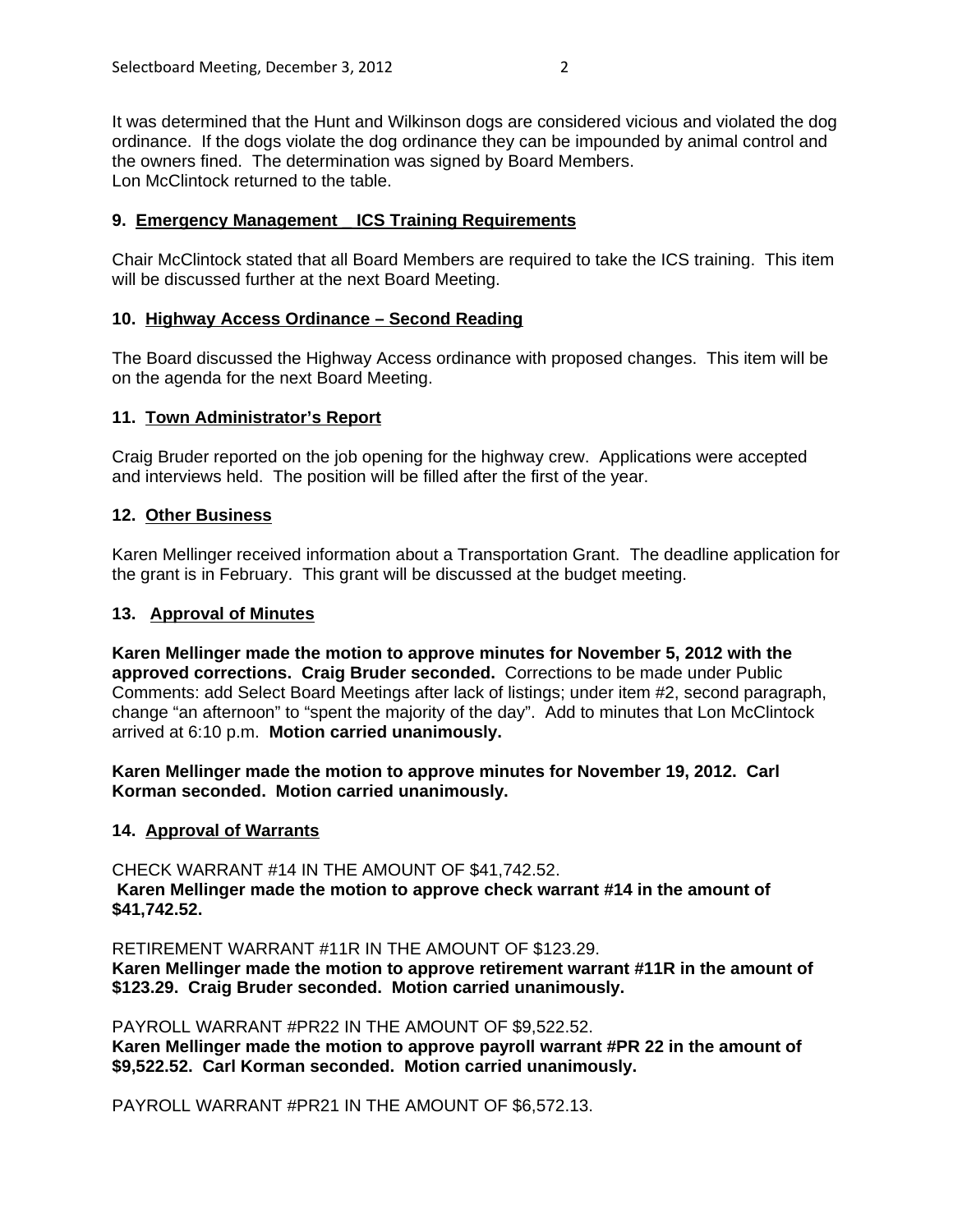## **9. Emergency Management \_ ICS Training Requirements**

Chair McClintock stated that all Board Members are required to take the ICS training. This item will be discussed further at the next Board Meeting.

#### **10. Highway Access Ordinance – Second Reading**

The Board discussed the Highway Access ordinance with proposed changes. This item will be on the agenda for the next Board Meeting.

### **11. Town Administrator's Report**

Craig Bruder reported on the job opening for the highway crew. Applications were accepted and interviews held. The position will be filled after the first of the year.

#### **12. Other Business**

Karen Mellinger received information about a Transportation Grant. The deadline application for the grant is in February. This grant will be discussed at the budget meeting.

#### **13. Approval of Minutes**

**Karen Mellinger made the motion to approve minutes for November 5, 2012 with the approved corrections. Craig Bruder seconded.** Corrections to be made under Public Comments: add Select Board Meetings after lack of listings; under item #2, second paragraph, change "an afternoon" to "spent the majority of the day". Add to minutes that Lon McClintock arrived at 6:10 p.m. **Motion carried unanimously.**

**Karen Mellinger made the motion to approve minutes for November 19, 2012. Carl Korman seconded. Motion carried unanimously.**

#### **14. Approval of Warrants**

CHECK WARRANT #14 IN THE AMOUNT OF \$41,742.52.  **Karen Mellinger made the motion to approve check warrant #14 in the amount of \$41,742.52.**

RETIREMENT WARRANT #11R IN THE AMOUNT OF \$123.29. **Karen Mellinger made the motion to approve retirement warrant #11R in the amount of \$123.29. Craig Bruder seconded. Motion carried unanimously.**

PAYROLL WARRANT #PR22 IN THE AMOUNT OF \$9,522.52. **Karen Mellinger made the motion to approve payroll warrant #PR 22 in the amount of \$9,522.52. Carl Korman seconded. Motion carried unanimously.**

PAYROLL WARRANT #PR21 IN THE AMOUNT OF \$6,572.13.